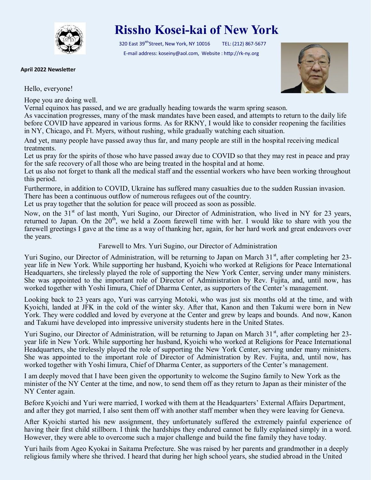

## **Rissho Kosei-kai of New York**

320 East 39<sup>tth</sup>Street, New York, NY 10016 TEL: (212) 867-5677 E-mail address: koseiny@aol.com, Website : http://rk-ny.org



**April 2022 Newsletter**

Hello, everyone!

Hope you are doing well.

Vernal equinox has passed, and we are gradually heading towards the warm spring season.

As vaccination progresses, many of the mask mandates have been eased, and attempts to return to the daily life before COVID have appeared in various forms. As for RKNY, I would like to consider reopening the facilities in NY, Chicago, and Ft. Myers, without rushing, while gradually watching each situation.

And yet, many people have passed away thus far, and many people are still in the hospital receiving medical treatments.

Let us pray for the spirits of those who have passed away due to COVID so that they may rest in peace and pray for the safe recovery of all those who are being treated in the hospital and at home.

Let us also not forget to thank all the medical staff and the essential workers who have been working throughout this period.

Furthermore, in addition to COVID, Ukraine has suffered many casualties due to the sudden Russian invasion. There has been a continuous outflow of numerous refugees out of the country.

Let us pray together that the solution for peace will proceed as soon as possible.

Now, on the 31<sup>st</sup> of last month, Yuri Sugino, our Director of Administration, who lived in NY for 23 years, returned to Japan. On the 20<sup>th</sup>, we held a Zoom farewell time with her. I would like to share with you the farewell greetings I gave at the time as a way of thanking her, again, for her hard work and great endeavors over the years.

Farewell to Mrs. Yuri Sugino, our Director of Administration

Yuri Sugino, our Director of Administration, will be returning to Japan on March  $31<sup>st</sup>$ , after completing her 23year life in New York. While supporting her husband, Kyoichi who worked at Religions for Peace International Headquarters, she tirelessly played the role of supporting the New York Center, serving under many ministers. She was appointed to the important role of Director of Administration by Rev. Fujita, and, until now, has worked together with Yoshi Iimura, Chief of Dharma Center, as supporters of the Center's management.

Looking back to 23 years ago, Yuri was carrying Motoki, who was just six months old at the time, and with Kyoichi, landed at JFK in the cold of the winter sky. After that, Kanon and then Takumi were born in New York. They were coddled and loved by everyone at the Center and grew by leaps and bounds. And now, Kanon and Takumi have developed into impressive university students here in the United States.

Yuri Sugino, our Director of Administration, will be returning to Japan on March  $31<sup>st</sup>$ , after completing her 23year life in New York. While supporting her husband, Kyoichi who worked at Religions for Peace International Headquarters, she tirelessly played the role of supporting the New York Center, serving under many ministers. She was appointed to the important role of Director of Administration by Rev. Fujita, and, until now, has worked together with Yoshi Iimura, Chief of Dharma Center, as supporters of the Center's management.

I am deeply moved that I have been given the opportunity to welcome the Sugino family to New York as the minister of the NY Center at the time, and now, to send them off as they return to Japan as their minister of the NY Center again.

Before Kyoichi and Yuri were married, I worked with them at the Headquarters' External Affairs Department, and after they got married, I also sent them off with another staff member when they were leaving for Geneva.

After Kyoichi started his new assignment, they unfortunately suffered the extremely painful experience of having their first child stillborn. I think the hardships they endured cannot be fully explained simply in a word. However, they were able to overcome such a major challenge and build the fine family they have today.

Yuri hails from Ageo Kyokai in Saitama Prefecture. She was raised by her parents and grandmother in a deeply religious family where she thrived. I heard that during her high school years, she studied abroad in the United